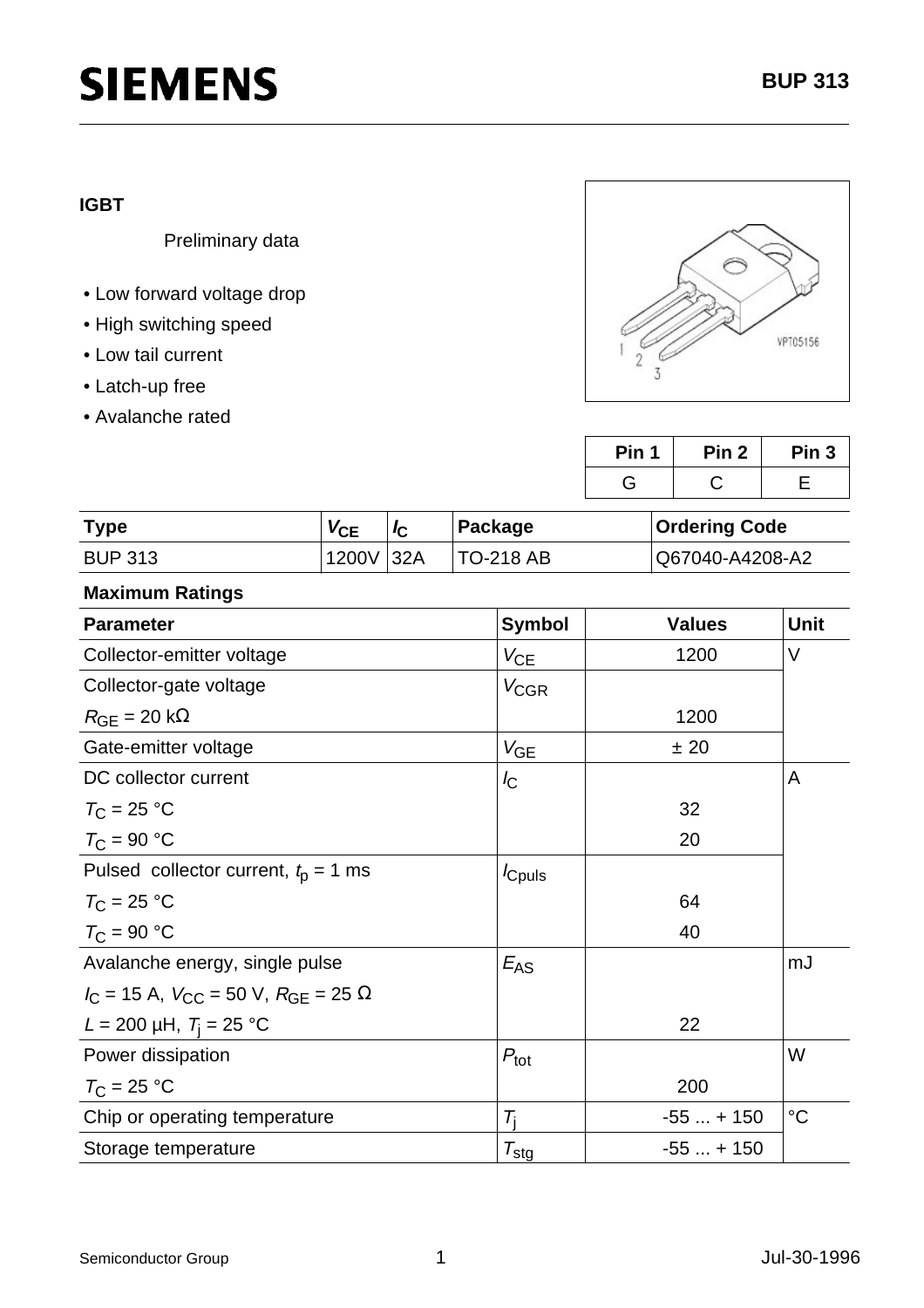### **IGBT**

#### Preliminary data

- Low forward voltage drop
- High switching speed
- Low tail current
- Latch-up free
- Avalanche rated



| Pin 1 | Pin <sub>2</sub> | Pin <sub>3</sub> |
|-------|------------------|------------------|
| (÷    |                  |                  |

| <b>Type</b>    | $V_{CE}$  | I <sub>C</sub> | Package      | <b>Ordering Code</b> |
|----------------|-----------|----------------|--------------|----------------------|
| <b>BUP 313</b> | 1200V 32A |                | $ TO-218 AB$ | Q67040-A4208-A2      |

## **Maximum Ratings**

| <b>Parameter</b>                                                          | <b>Symbol</b>    | <b>Values</b> | Unit            |
|---------------------------------------------------------------------------|------------------|---------------|-----------------|
| Collector-emitter voltage                                                 | $V_{CE}$         | 1200          | V               |
| Collector-gate voltage                                                    | $V_{\text{CGR}}$ |               |                 |
| $R_{\text{GE}}$ = 20 k $\Omega$                                           |                  | 1200          |                 |
| Gate-emitter voltage                                                      | $V_{GE}$         | ± 20          |                 |
| DC collector current                                                      | Iс               |               | Α               |
| $T_{\rm C}$ = 25 °C                                                       |                  | 32            |                 |
| $T_{\rm C}$ = 90 °C                                                       |                  | 20            |                 |
| Pulsed collector current, $t_p = 1$ ms                                    | <i>c</i> puls    |               |                 |
| $T_{\rm C}$ = 25 °C                                                       |                  | 64            |                 |
| $T_{\rm C}$ = 90 °C                                                       |                  | 40            |                 |
| Avalanche energy, single pulse                                            | $E_{AS}$         |               | mJ              |
| $I_{\rm C}$ = 15 A, $V_{\rm CC}$ = 50 V, $R_{\rm GE}$ = 25 $\Omega$       |                  |               |                 |
| $L = 200 \text{ }\mu\text{H}, T_{\text{i}} = 25 \text{ }^{\circ}\text{C}$ |                  | 22            |                 |
| Power dissipation                                                         | $P_{\text{tot}}$ |               | W               |
| $T_{\rm C}$ = 25 °C                                                       |                  | 200           |                 |
| Chip or operating temperature                                             | $T_i$            | $-55 + 150$   | $\rm ^{\circ}C$ |
| Storage temperature                                                       | $T_{\text{stg}}$ | $-55 + 150$   |                 |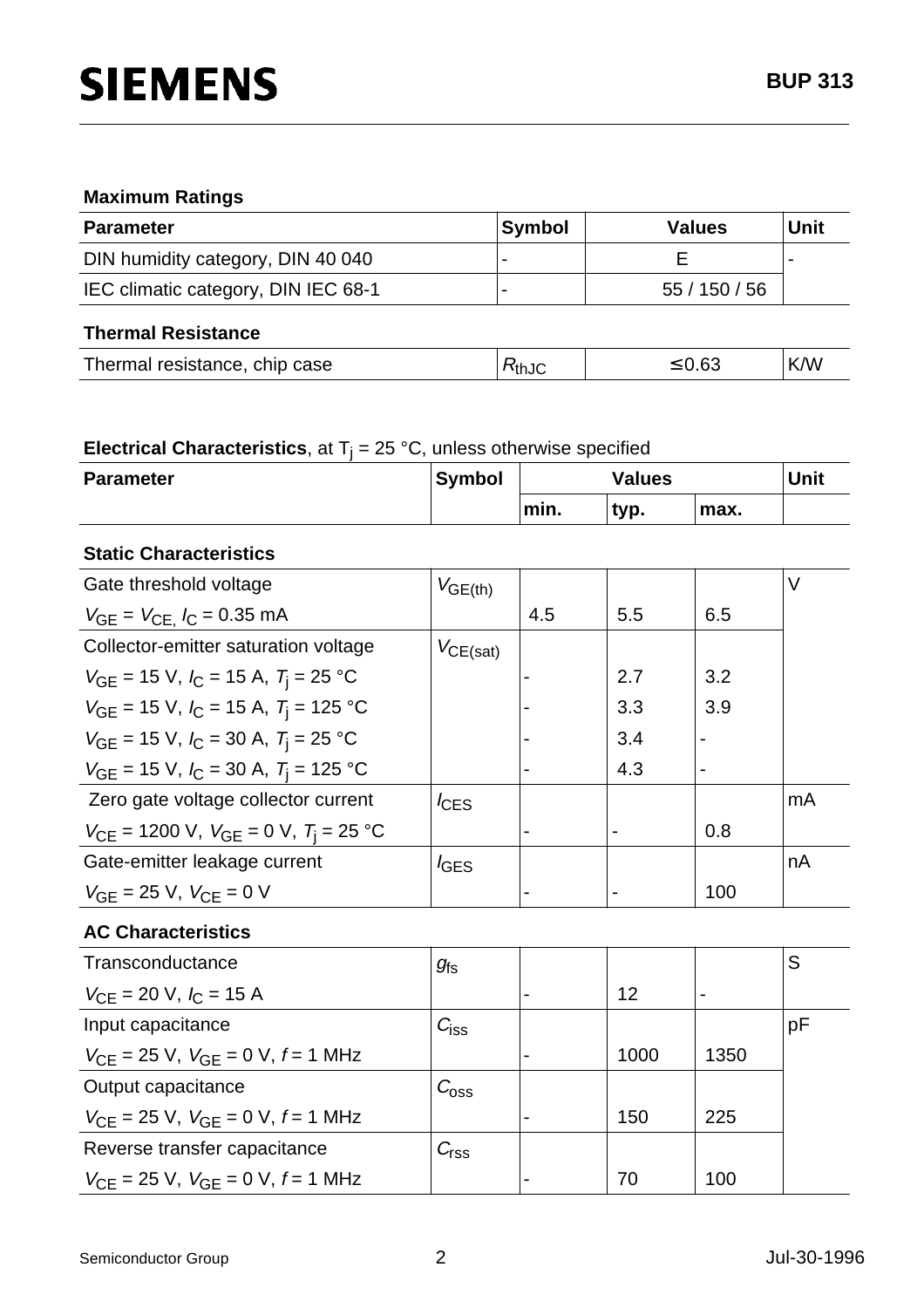### **Maximum Ratings**

| <b>Parameter</b>                    | <b>Symbol</b> | <b>Values</b> | <b>Unit</b>              |
|-------------------------------------|---------------|---------------|--------------------------|
| DIN humidity category, DIN 40 040   |               |               | $\overline{\phantom{0}}$ |
| IEC climatic category, DIN IEC 68-1 |               | 55 / 150 / 56 |                          |
| <b>Thermal Resistance</b>           |               |               |                          |
| Thermal resistance, chip case       | $R_{thJC}$    | $\leq 0.63$   | K/W                      |

## **Electrical Characteristics**, at T<sub>j</sub> = 25 °C, unless otherwise specified

| <b>Parameter</b> | <b>Symbol</b> | <b>Values</b> |      |      | <b>Unit</b> |
|------------------|---------------|---------------|------|------|-------------|
|                  |               | min.          | typ. | max. |             |

### **Static Characteristics**

| Gate threshold voltage                                                  | $V_{GE(th)}$     |     |     |                | V  |
|-------------------------------------------------------------------------|------------------|-----|-----|----------------|----|
| $V_{GE} = V_{CE}$ , $I_C = 0.35$ mA                                     |                  | 4.5 | 5.5 | 6.5            |    |
| Collector-emitter saturation voltage                                    | $V_{CE(sat)}$    |     |     |                |    |
| $V_{GE}$ = 15 V, $I_C$ = 15 A, $T_i$ = 25 °C                            |                  |     | 2.7 | 3.2            |    |
| $V_{GE}$ = 15 V, $I_C$ = 15 A, $T_i$ = 125 °C                           |                  |     | 3.3 | 3.9            |    |
| $V_{GE}$ = 15 V, $I_C$ = 30 A, $T_i$ = 25 °C                            |                  |     | 3.4 |                |    |
| $V_{GE}$ = 15 V, $I_C$ = 30 A, $T_i$ = 125 °C                           |                  |     | 4.3 | $\blacksquare$ |    |
| Zero gate voltage collector current                                     | $I_{\text{CES}}$ |     |     |                | mA |
| $V_{\text{CE}}$ = 1200 V, $V_{\text{GE}}$ = 0 V, $T_{\text{i}}$ = 25 °C |                  |     |     | 0.8            |    |
| Gate-emitter leakage current                                            | $I_{\text{GES}}$ |     |     |                | nA |
| $V_{GF}$ = 25 V, $V_{CF}$ = 0 V                                         |                  |     |     | 100            |    |

#### **AC Characteristics**

| Transconductance                                           | $g_{\rm fs}$   |                          |      |      | S  |
|------------------------------------------------------------|----------------|--------------------------|------|------|----|
| $V_{\text{CE}}$ = 20 V, $I_{\text{C}}$ = 15 A              |                | -                        | 12   | ۰    |    |
| Input capacitance                                          | $C_{\rm lss}$  |                          |      |      | рF |
| $V_{\text{CF}}$ = 25 V, $V_{\text{GF}}$ = 0 V, $f$ = 1 MHz |                |                          | 1000 | 1350 |    |
| Output capacitance                                         | $C_{\rm{OSS}}$ |                          |      |      |    |
| $V_{\text{CF}}$ = 25 V, $V_{\text{GF}}$ = 0 V, $f$ = 1 MHz |                | $\overline{\phantom{0}}$ | 150  | 225  |    |
| Reverse transfer capacitance                               | $C_{\rm rss}$  |                          |      |      |    |
| $V_{\text{CE}}$ = 25 V, $V_{\text{GE}}$ = 0 V, $f$ = 1 MHz |                |                          | 70   | 100  |    |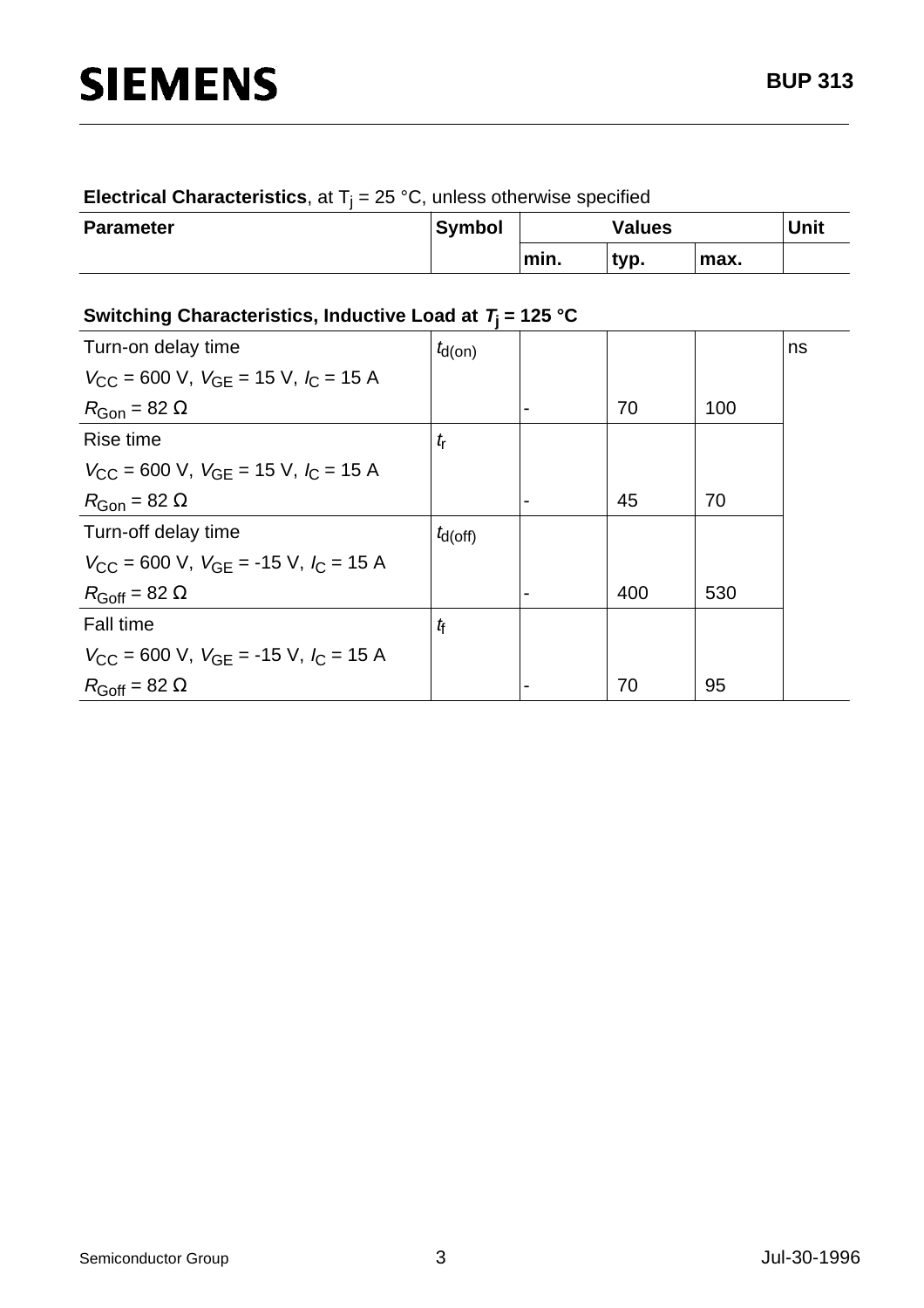## **Electrical Characteristics**, at T<sub>j</sub> = 25 °C, unless otherwise specified

| <b>Parameter</b> | <b>Symbol</b> |      | <b>Values</b> |      |  |
|------------------|---------------|------|---------------|------|--|
|                  |               | min. | typ.          | max. |  |

## **Switching Characteristics, Inductive Load at T<sup>j</sup> = 125 °C**

| Turn-on delay time                                                      | $t_{d(on)}$  |                |     |     | ns |
|-------------------------------------------------------------------------|--------------|----------------|-----|-----|----|
| $V_{\text{CC}}$ = 600 V, $V_{\text{GF}}$ = 15 V, $I_{\text{C}}$ = 15 A  |              |                |     |     |    |
| $R_{\text{Gon}}$ = 82 $\Omega$                                          |              | $\blacksquare$ | 70  | 100 |    |
| Rise time                                                               | $t_{\rm r}$  |                |     |     |    |
| $V_{\text{CC}}$ = 600 V, $V_{\text{GF}}$ = 15 V, $I_{\text{C}}$ = 15 A  |              |                |     |     |    |
| $R_{\text{Gon}}$ = 82 $\Omega$                                          |              | $\blacksquare$ | 45  | 70  |    |
| Turn-off delay time                                                     | $t_{d(Off)}$ |                |     |     |    |
| $V_{\rm CC}$ = 600 V, $V_{\rm GF}$ = -15 V, $I_{\rm C}$ = 15 A          |              |                |     |     |    |
| $R_{\text{Goff}}$ = 82 $\Omega$                                         |              |                | 400 | 530 |    |
| <b>Fall time</b>                                                        | $t_{\rm f}$  |                |     |     |    |
| $V_{\text{CC}}$ = 600 V, $V_{\text{GF}}$ = -15 V, $I_{\text{C}}$ = 15 A |              |                |     |     |    |
| $R_{\text{Goff}} = 82 \Omega$                                           |              | $\blacksquare$ | 70  | 95  |    |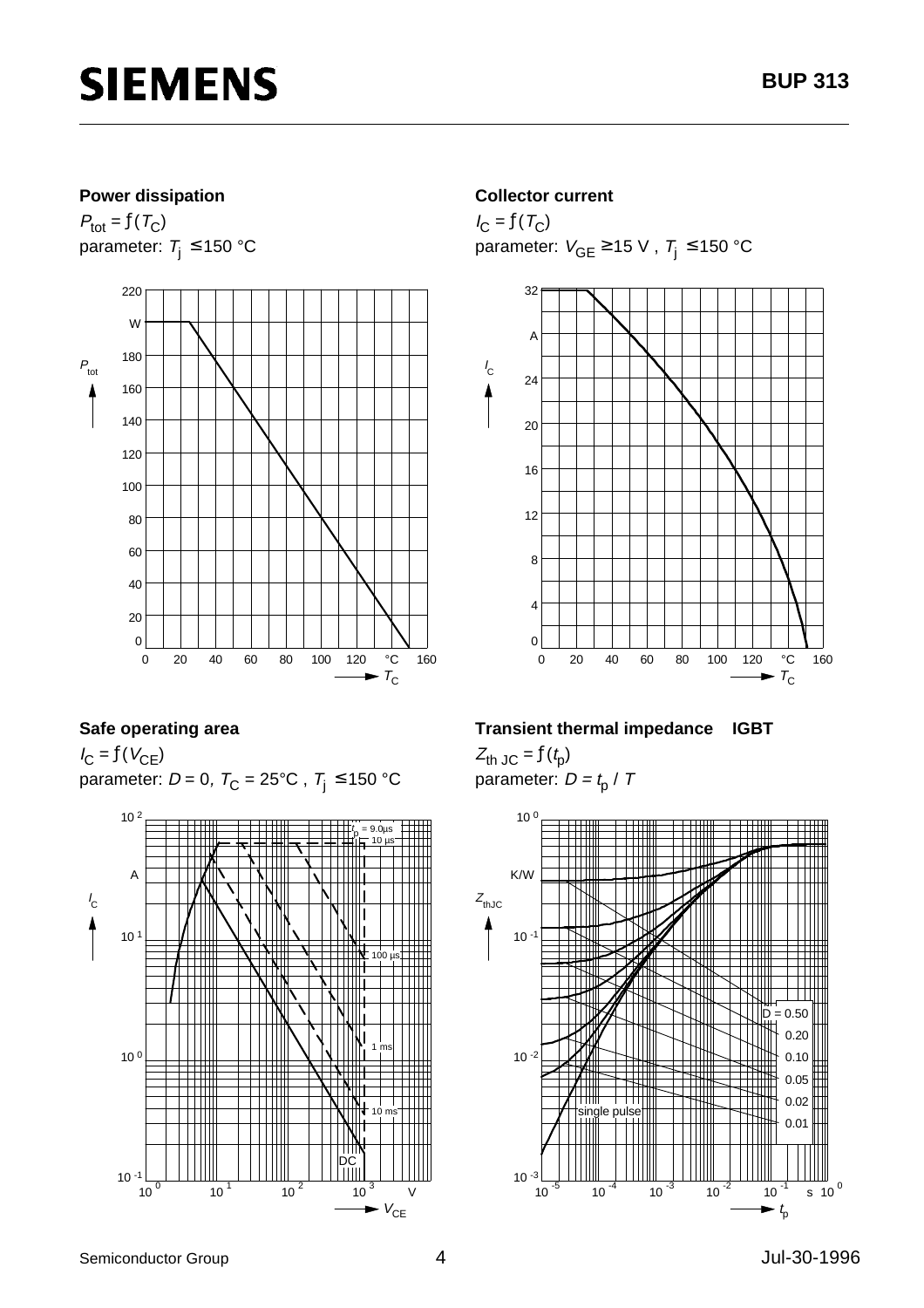#### **Power dissipation**

 $P_{\text{tot}} = f(T_C)$ parameter:  $T_i \le 150$  °C



### **Safe operating area**

 $I_{\rm C} = f(V_{\rm CE})$ parameter:  $D = 0$ ,  $T_C = 25^{\circ}$ C,  $T_i \le 150^{\circ}$ C



### **Collector current**

 $I_{\text{C}} = f(T_{\text{C}})$ parameter:  $V_{GE} \ge 15$  V,  $T_i \le 150$  °C



### **Transient thermal impedance IGBT**

 $Z_{\text{th JC}} = f(t_{\text{p}})$ parameter:  $D = t_p / T$ 

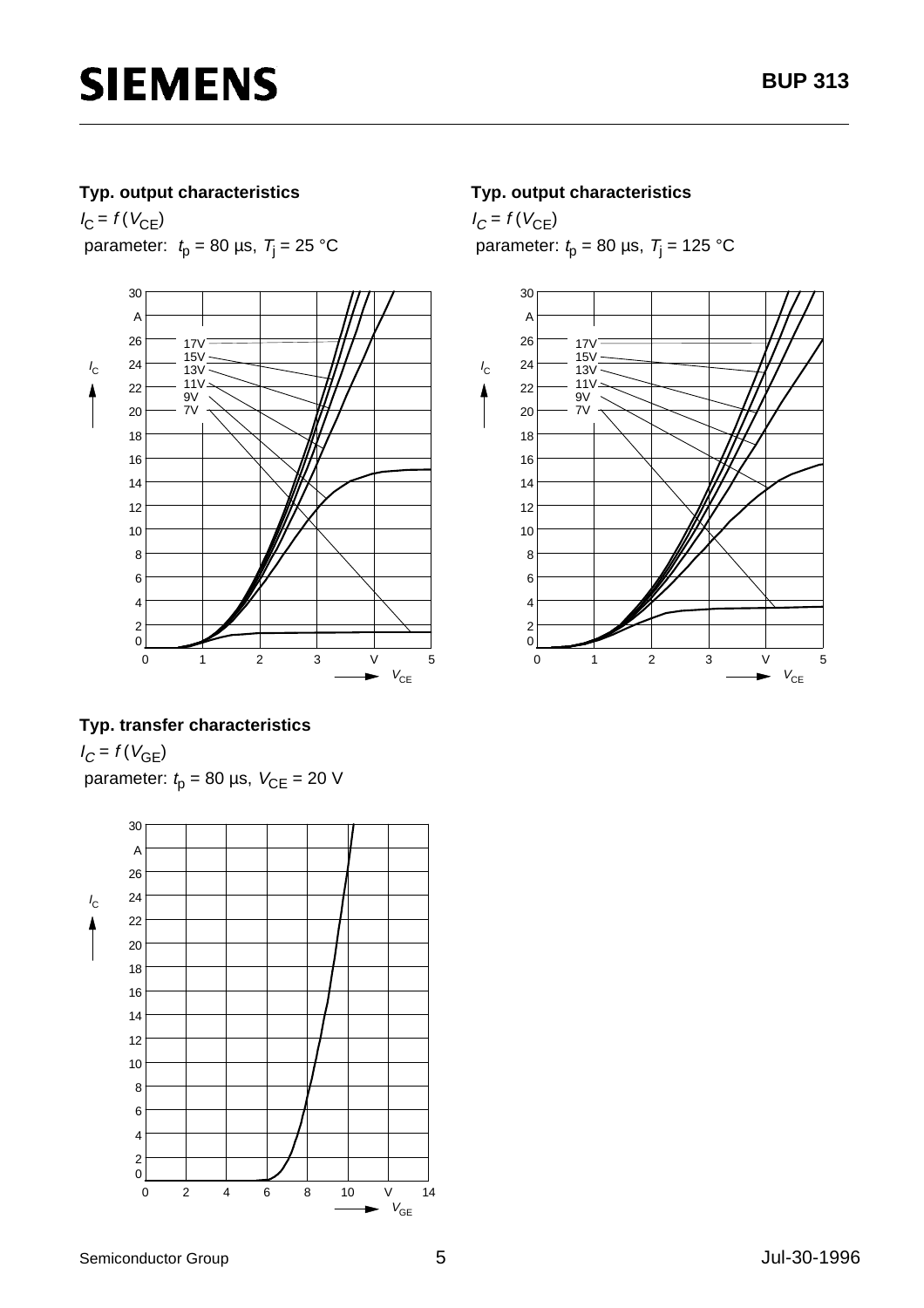#### **Typ. output characteristics**

 $I_{\text{C}} = f(V_{\text{CE}})$ parameter:  $t_p = 80 \text{ }\mu\text{s}, \ T_j = 25 \text{ }^{\circ}\text{C}$ 



#### **Typ. transfer characteristics**

 $I_C = f(V_{GE})$ parameter:  $t_p = 80 \text{ }\mu\text{s}, V_{CE} = 20 \text{ V}$ 



#### **Typ. output characteristics**

 $I_C = f(V_{CE})$ parameter:  $t_p = 80 \text{ }\mu\text{s}, \ T_j = 125 \text{ }^{\circ}\text{C}$ 

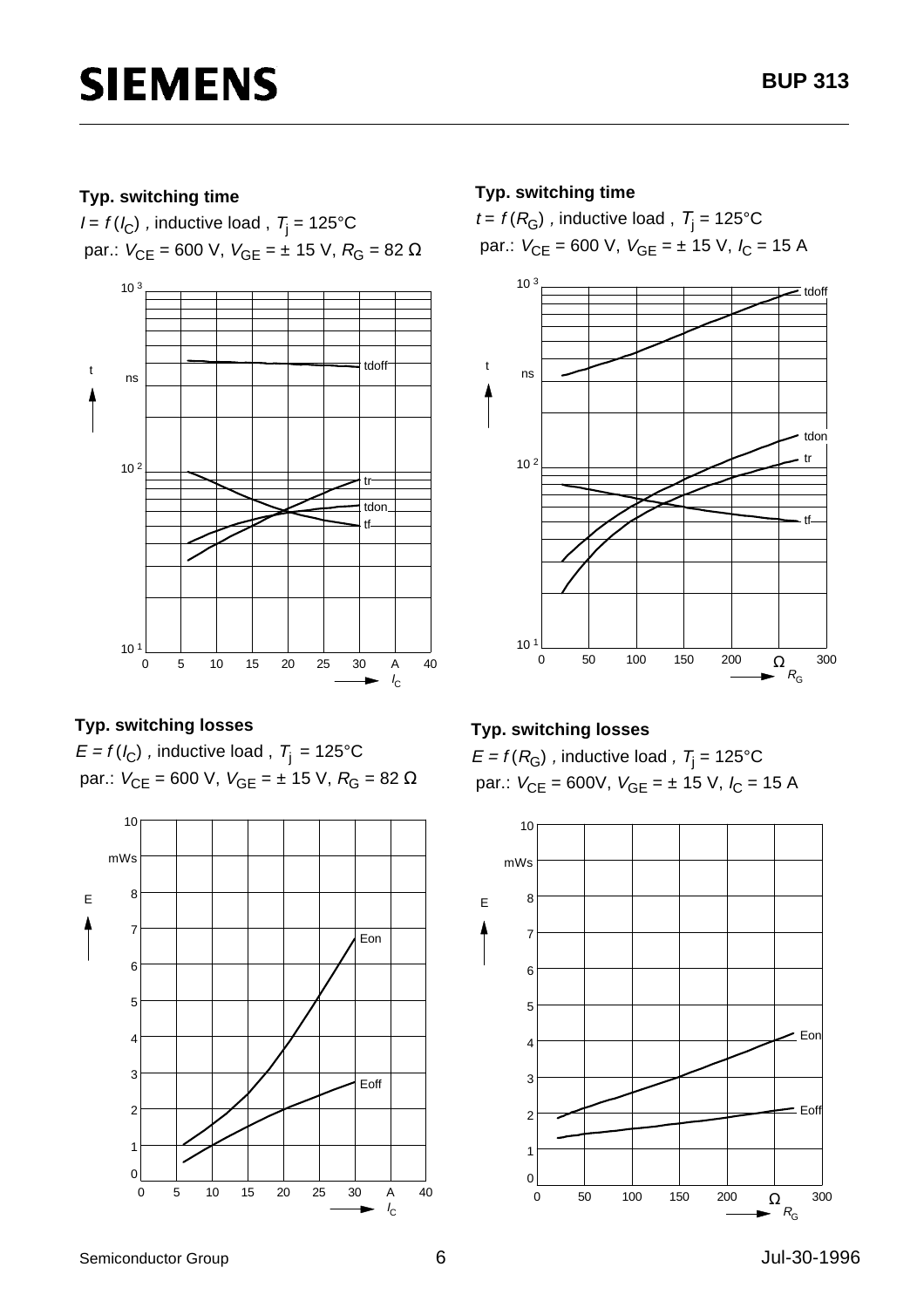#### **Typ. switching time**

 $I$  =  $f\left(I_{\bigcirc}\right)$  , inductive load ,  $\mathcal{T}_{\vphantom{\overline{J}}}$  = 125°C par.:  $V_{CE}$  = 600 V,  $V_{GE}$  = ± 15 V,  $R_G$  = 82 Ω



## **Typ. switching losses**

 $E = f(I_C)$ , inductive load,  $T_i = 125$ °C par.:  $V_{CE} = 600$  V,  $V_{GE} = \pm 15$  V,  $R_G = 82$  Ω



#### **Typ. switching time**

 $t$  =  $f$  ( $R_{\rm G}$ ) , inductive load ,  $\, T_{\rm j}$  = 125°C par.:  $V_{CE} = 600 \text{ V}$ ,  $V_{GE} = \pm 15 \text{ V}$ ,  $I_C = 15 \text{ A}$ 



## **Typ. switching losses**

 $E$  =  $f(R_G)$  , inductive load ,  $T_{\rm j}$  = 125°C par.:  $V_{CE} = 600V$ ,  $V_{GE} = \pm 15 V$ ,  $I_C = 15 A$ 

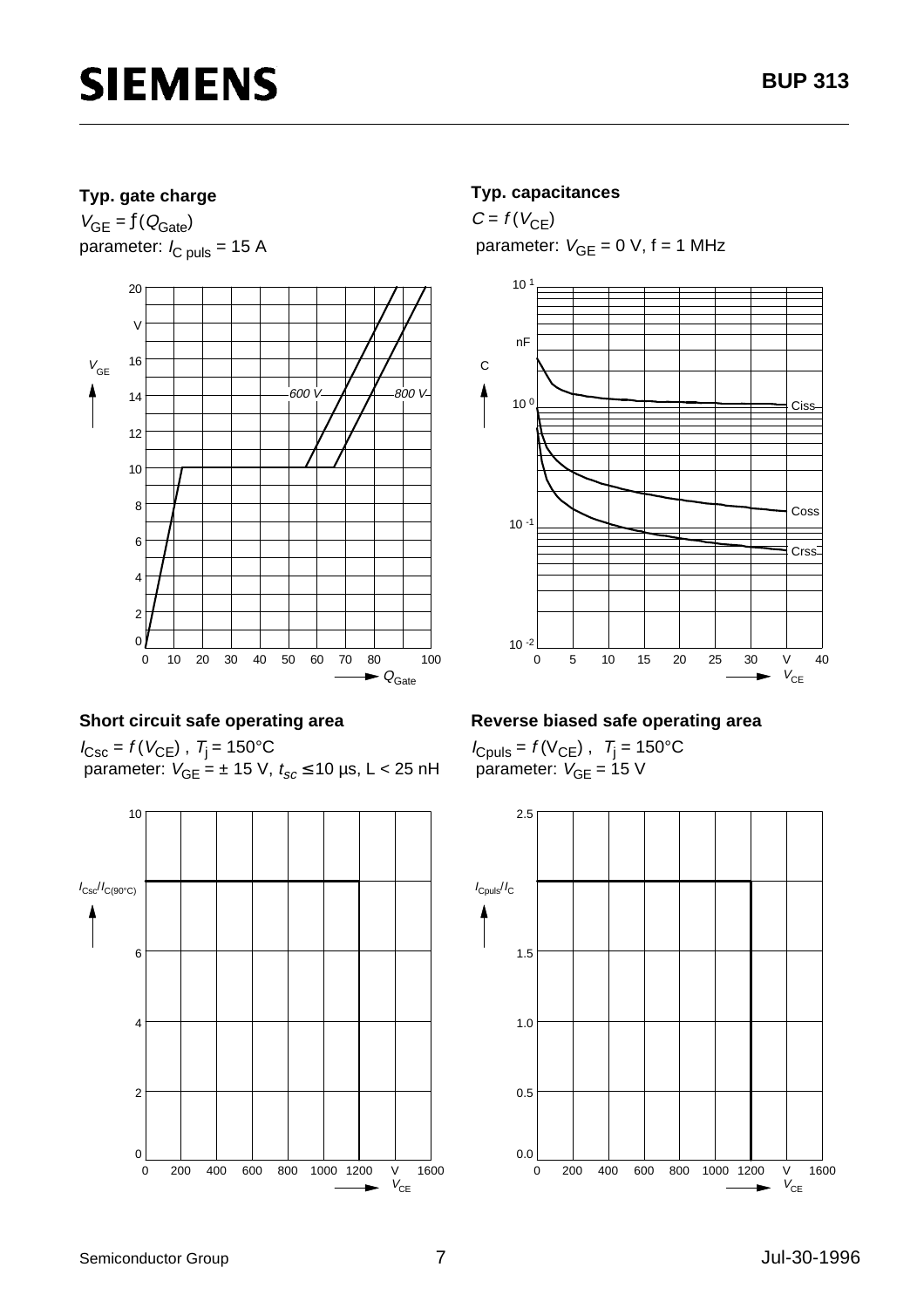### **Typ. gate charge**

 $V_{\text{GE}}=f(Q_{\text{Gate}})$ parameter:  $I_{C \text{ puls}} = 15 \text{ A}$ 



#### **Short circuit safe operating area**

 $I_{\text{Csc}}$  =  $f$  (  $V_{\text{CE}}$  ) , T<sub>j</sub> = 150°C parameter:  $V_{GE} = \pm 15 \text{ V}$ ,  $t_{sc} \le 10 \text{ }\mu\text{s}$ , L < 25 nH



#### **Typ. capacitances**

 $C = f(V_{\text{CF}})$ parameter:  $V_{GE} = 0$  V,  $f = 1$  MHz



#### **Reverse biased safe operating area**

 $I_{\text{Cpuls}}$  =  $f$  (V<sub>CE</sub>), T<sub>j</sub> = 150°C parameter:  $V_{GE}$  = 15 V